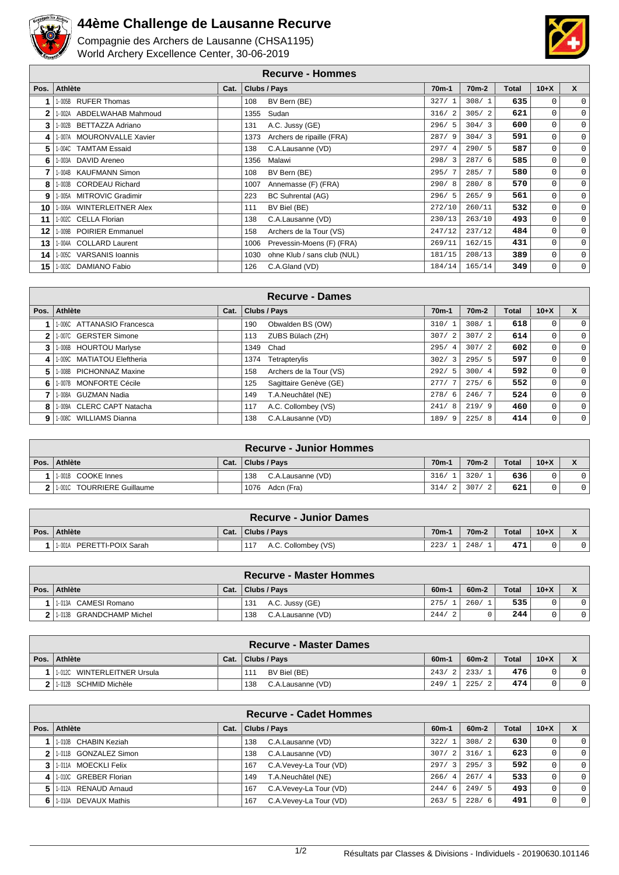

## **44ème Challenge de Lausanne Recurve**

Compagnie des Archers de Lausanne (CHSA1195) World Archery Excellence Center, 30-06-2019



## **Recurve - Hommes**

| Pos. | Athlète                           | Cat. | Clubs / Pays                        | $70m-1$ | 70 <sub>m</sub> -2 | Total | $10+X$      | $\mathsf{x}$ |
|------|-----------------------------------|------|-------------------------------------|---------|--------------------|-------|-------------|--------------|
|      | 1-005B RUFER Thomas               |      | BV Bern (BE)<br>108                 | 327/1   | 308/1              | 635   | 0           | $\mathbf 0$  |
| 2    | 1-002A ABDELWAHAB Mahmoud         |      | Sudan<br>1355                       | 316/2   | 305/2              | 621   | 0           | $\mathbf 0$  |
| 3    | 1-002B BETTAZZA Adriano           |      | A.C. Jussy (GE)<br>131              | 296/5   | 304/3              | 600   | 0           | $\mathbf 0$  |
| 4    | 1-007A MOURONVALLE Xavier         |      | Archers de ripaille (FRA)<br>1373   | 287/9   | 304/3              | 591   | 0           | $\mathbf 0$  |
| 5    | 1-004C TAMTAM Essaid              |      | 138<br>C.A.Lausanne (VD)            | 297/4   | 290/5              | 587   | 0           | $\mathbf 0$  |
| 6    | 1-003A DAVID Areneo               |      | Malawi<br>1356                      | 298/3   | 287/6              | 585   | 0           | $\mathbf 0$  |
| 7    | 1-004B KAUFMANN Simon             |      | BV Bern (BE)<br>108                 | 295/7   | 285/7              | 580   | 0           | $\mathbf 0$  |
| 8    | 1-003B CORDEAU Richard            |      | Annemasse (F) (FRA)<br>1007         | 290/8   | 280/8              | 570   | $\mathbf 0$ | $\mathbf 0$  |
| 9    | 1-005A MITROVIC Gradimir          |      | 223<br>BC Suhrental (AG)            | 296/5   | 265/9              | 561   | 0           | $\mathbf 0$  |
| 10   | 1-006A WINTERLEITNER Alex         |      | BV Biel (BE)<br>111                 | 272/10  | 260/11             | 532   | 0           | $\mathbf 0$  |
| 11   | 1-002C CELLA Florian              |      | 138<br>C.A.Lausanne (VD)            | 230/13  | 263/10             | 493   | 0           | $\mathbf 0$  |
| 12   | 1-009B POIRIER Emmanuel           |      | Archers de la Tour (VS)<br>158      | 247/12  | 237/12             | 484   | $\mathbf 0$ | $\mathsf 0$  |
| 13   | 1-004A COLLARD Laurent            |      | 1006<br>Prevessin-Moens (F) (FRA)   | 269/11  | 162/15             | 431   | $\mathbf 0$ | $\mathbf 0$  |
| 14   | 1-005C<br><b>VARSANIS Ioannis</b> |      | ohne Klub / sans club (NUL)<br>1030 | 181/15  | 208/13             | 389   | 0           | $\mathbf 0$  |
| 15   | 1-003C DAMIANO Fabio              |      | C.A.Gland (VD)<br>126               | 184/14  | 165/14             | 349   | $\mathbf 0$ | 0            |

|    |                            |      |      | <b>Recurve - Dames</b>  |                    |                    |       |              |              |
|----|----------------------------|------|------|-------------------------|--------------------|--------------------|-------|--------------|--------------|
|    | Pos. Athlète               | Cat. |      | Clubs / Pays            | 70 <sub>m</sub> -1 | 70 <sub>m</sub> -2 | Total | $10 + X$     | X            |
|    | 1-006C ATTANASIO Francesca |      | 190  | Obwalden BS (OW)        | 310/1              | 308/1              | 618   | 0            |              |
|    | 1-007C GERSTER Simone      |      | 113  | ZUBS Bülach (ZH)        | 307/<br>2          | 307/2              | 614   | 0            | $\Omega$     |
|    | 1-006B HOURTOU Marlyse     |      | 1349 | Chad                    | 295/<br>4          | 307/2              | 602   | 0            | $\mathbf{0}$ |
| 41 | 1-009C MATIATOU Eleftheria |      | 1374 | Tetrapterylis           | 302/<br>-3         | 295/5              | 597   | 0            | $\Omega$     |
| 5. | 1-008B PICHONNAZ Maxine    |      | 158  | Archers de la Tour (VS) | 292/5              | 300/4              | 592   | 0            | $\mathbf{0}$ |
| 6. | 1-007B MONFORTE Cécile     |      | 125  | Sagittaire Genève (GE)  | 277/7              | 275/6              | 552   | $\mathbf{0}$ | $\Omega$     |
|    | 1-008A GUZMAN Nadia        |      | 149  | T.A.Neuchâtel (NE)      | 278/6              | 246/7              | 524   | 0            | $\Omega$     |
| 8  | 1-009A CLERC CAPT Natacha  |      | 117  | A.C. Collombey (VS)     | 241/<br>8          | 219/9              | 460   | 0            | $\Omega$     |
| 9  | 1-008C WILLIAMS Dianna     |      | 138  | C.A.Lausanne (VD)       | 189/9              | 225/8              | 414   | 0            | $\Omega$     |

|                            |      | <b>Recurve - Junior Hommes</b> |        |                    |              |          |  |
|----------------------------|------|--------------------------------|--------|--------------------|--------------|----------|--|
| Pos. Athlète               | Cat. | Clubs / Pays                   | $70m-$ | 70 <sub>m</sub> -2 | <b>Total</b> | $10 + X$ |  |
| 1-001B COOKE Innes         |      | 138<br>C.A.Lausanne (VD)       | 316/1  | 320/1              | 636          |          |  |
| 1.001C TOURRIERE Guillaume |      | 1076 Adcn (Fra)                | 314/2  | 307/               | 621          |          |  |

| <b>Recurve - Junior Dames</b> |      |                            |                    |         |              |          |  |  |  |
|-------------------------------|------|----------------------------|--------------------|---------|--------------|----------|--|--|--|
| Pos. Athlète                  | Cat. | Clubs / Pays               | 70 <sub>m</sub> -1 | $70m-2$ | <b>Total</b> | $10 + X$ |  |  |  |
| PERETTI-POIX Sarah<br>1-001A  |      | A.C. Collombey (VS)<br>117 | 223/               | 248     | 471          |          |  |  |  |

|                            |      | <b>Recurve - Master Hommes</b> |                   |         |              |        |  |
|----------------------------|------|--------------------------------|-------------------|---------|--------------|--------|--|
| Pos. Athlète               | Cat. | Clubs / Pays                   | 60 <sub>m</sub> - | $60m-2$ | <b>Total</b> | $10+X$ |  |
| 1-013A CAMESI Romano       |      | A.C. Jussy (GE)<br>131         | 275/              | 260/    | 535          |        |  |
| 2 1.013B GRANDCHAMP Michel |      | C.A.Lausanne (VD)<br>138       | 244/              |         | 244          |        |  |

|          |                                    |      | <b>Recurve - Master Dames</b> |         |                    |              |          |  |
|----------|------------------------------------|------|-------------------------------|---------|--------------------|--------------|----------|--|
| Pos. $ $ | Athlète                            | Cat. | Clubs / Pavs                  | $60m -$ | 60 <sub>m</sub> -2 | <b>Total</b> | $10 + X$ |  |
|          | $1 - 012C$<br>WINTERLEITNER Ursula |      | BV Biel (BE)<br>111           | 243/2   | 233/               | 476          |          |  |
|          | 1-012B SCHMID Michèle              |      | C.A.Lausanne (VD)<br>138      | 249/    | 225/               | 474          |          |  |

|      |                       |      | <b>Recurve - Cadet Hommes</b>  |         |         |              |              |                |
|------|-----------------------|------|--------------------------------|---------|---------|--------------|--------------|----------------|
| Pos. | Athlète               | Cat. | Clubs / Pays                   | $60m-1$ | $60m-2$ | <b>Total</b> | $10+X$       | X              |
|      | 1-010B CHABIN Keziah  |      | C.A.Lausanne (VD)<br>138       | 322/1   | 308/2   | 630          | $\mathbf{0}$ | $\Omega$       |
|      | 1-011B GONZALEZ Simon |      | C.A.Lausanne (VD)<br>138       | 307/2   | 316/1   | 623          | 0            | $\Omega$       |
|      | 1-011A MOECKLI Felix  |      | C.A. Vevey-La Tour (VD)<br>167 | 297/3   | 295/3   | 592          | 0            | $\overline{0}$ |
| 4    | 1-010C GREBER Florian |      | T.A.Neuchâtel (NE)<br>149      | 266/4   | 267/4   | 533          | $\mathbf{0}$ | $\Omega$       |
| 5.   | 1-012A RENAUD Arnaud  |      | C.A. Vevey-La Tour (VD)<br>167 | 244/6   | 249/5   | 493          | $\mathbf{0}$ | $\overline{0}$ |
| 6.   | 1-010A DEVAUX Mathis  |      | C.A.Vevey-La Tour (VD)<br>167  | 263/5   | 228/6   | 491          | 0            | $\overline{0}$ |